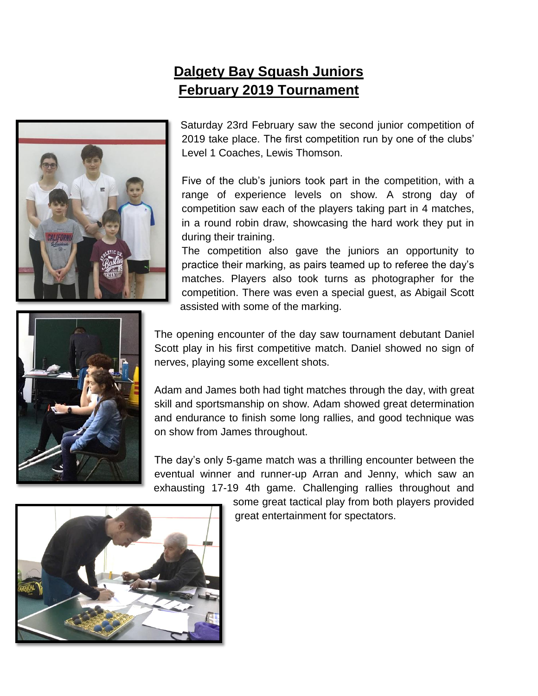## **Dalgety Bay Squash Juniors February 2019 Tournament**





Saturday 23rd February saw the second junior competition of 2019 take place. The first competition run by one of the clubs' Level 1 Coaches, Lewis Thomson.

Five of the club's juniors took part in the competition, with a range of experience levels on show*.* A strong day of competition saw each of the players taking part in 4 matches, in a round robin draw, showcasing the hard work they put in during their training.

The competition also gave the juniors an opportunity to practice their marking, as pairs teamed up to referee the day's matches. Players also took turns as photographer for the competition. There was even a special guest, as Abigail Scott assisted with some of the marking.

The opening encounter of the day saw tournament debutant Daniel Scott play in his first competitive match. Daniel showed no sign of nerves, playing some excellent shots.

Adam and James both had tight matches through the day, with great skill and sportsmanship on show. Adam showed great determination and endurance to finish some long rallies, and good technique was on show from James throughout.

The day's only 5-game match was a thrilling encounter between the eventual winner and runner-up Arran and Jenny, which saw an exhausting 17-19 4th game. Challenging rallies throughout and

> some great tactical play from both players provided great entertainment for spectators.